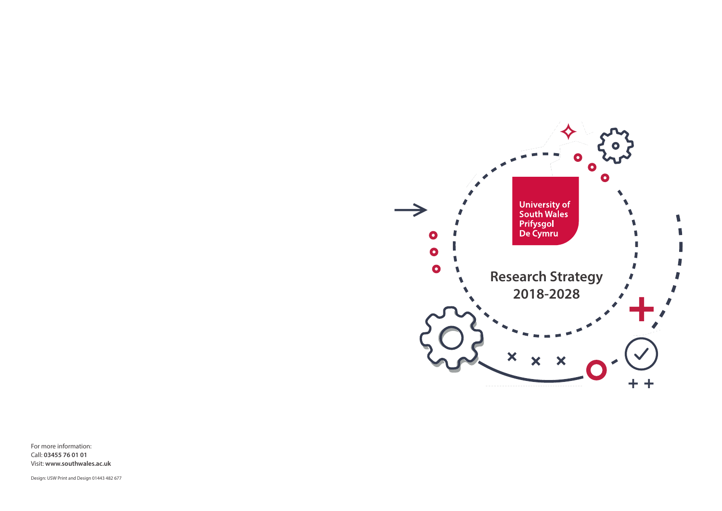For more information: Call: **03455 76 01 01** Visit: **www.southwales.ac.uk**

Design: USW Print and Design 01443 482 677

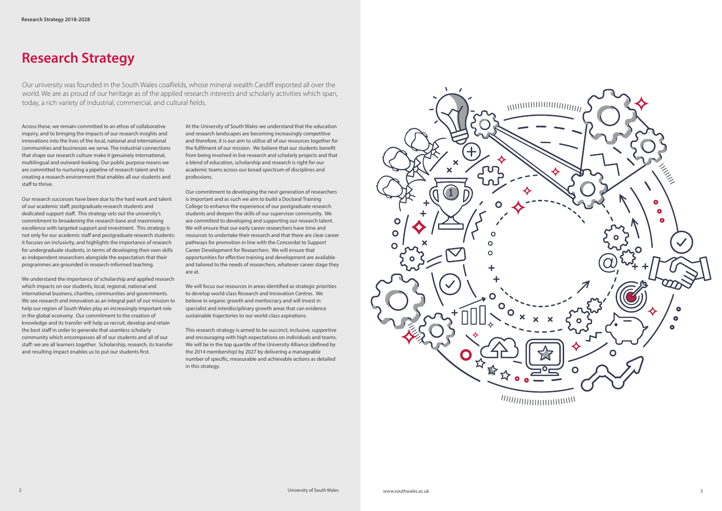At the University of South Wales we understand that the education and research landscapes are becoming increasingly competitive and therefore, it is our aim to utilise all of our resources together for the fulfilment of our mission. We believe that our students benefit from being involved in live research and scholarly projects and that a blend of education, scholarship and research is right for our academic teams across our broad spectrum of disciplines and professions.

Our commitment to developing the next generation of researchers is important and as such we aim to build a Doctoral Training College to enhance the experience of our postgraduate research students and deepen the skills of our supervisor community. We are committed to developing and supporting our research talent. We will ensure that our early career researchers have time and resources to undertake their research and that there are clear career pathways for promotion in line with the Concordat to Support Career Development for Researchers. We will ensure that opportunities for effective training and development are available and tailored to the needs of researchers, whatever career stage they are at.

We will focus our resources in areas identified as strategic priorities to develop world-class Research and Innovation Centres. We believe in organic growth and meritocracy and will invest in specialist and interdisciplinary growth areas that can evidence sustainable trajectories to our world-class aspirations.

This research strategy is aimed to be succinct, inclusive, supportive and encouraging with high expectations on individuals and teams. We will be in the top quartile of the University Alliance (defined by the 2014 membership) by 2027 by delivering a manageable number of specific, measurable and achievable actions as detailed in this strategy.



### **Research Strategy**

Across these, we remain committed to an ethos of collaborative inquiry, and to bringing the impacts of our research insights and innovations into the lives of the local, national and international communities and businesses we serve. The industrial connections that shape our research culture make it genuinely international, multilingual and outward-looking. Our public purpose means we are committed to nurturing a pipeline of research talent and to creating a research environment that enables all our students and staff to thrive.

Our research successes have been due to the hard work and talent of our academic staff, postgraduate research students and dedicated support staff. This strategy sets out the university's commitment to broadening the research base and maximising excellence with targeted support and investment. This strategy is not only for our academic staff and postgraduate research students: it focuses on inclusivity, and highlights the importance of research for undergraduate students, in terms of developing their own skills as independent researchers alongside the expectation that their programmes are grounded in research-informed teaching.

We understand the importance of scholarship and applied research which impacts on our students, local, regional, national and international business, charities, communities and governments. We see research and innovation as an integral part of our mission to help our region of South Wales play an increasingly important role in the global economy. Our commitment to the creation of knowledge and its transfer will help us recruit, develop and retain the best staff in order to generate that seamless scholarly community which encompasses all of our students and all of our staff: we are all learners together. Scholarship, research, its transfer and resulting impact enables us to put our students first.

Our university was founded in the South Wales coalfields, whose mineral wealth Cardiff exported all over the world. We are as proud of our heritage as of the applied research interests and scholarly activities which span, today, a rich variety of industrial, commercial, and cultural fields.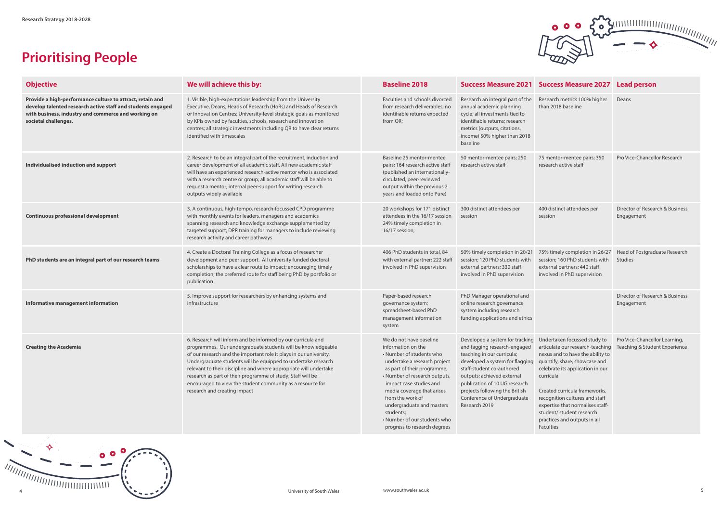

# **Prioritising People**



| <b>Objective</b>                                                                                                                                                                                        | We will achieve this by:                                                                                                                                                                                                                                                                                                                                                                                                                                                                              | <b>Baseline 2018</b>                                                                                                                                                                                                                                                                                                                                             |                                                                                                                                                                                                                                                                                                                | Success Measure 2021 Success Measure 2027 Lead person                                                                                                                                                                                                                                                                                                                   |                                                                |
|---------------------------------------------------------------------------------------------------------------------------------------------------------------------------------------------------------|-------------------------------------------------------------------------------------------------------------------------------------------------------------------------------------------------------------------------------------------------------------------------------------------------------------------------------------------------------------------------------------------------------------------------------------------------------------------------------------------------------|------------------------------------------------------------------------------------------------------------------------------------------------------------------------------------------------------------------------------------------------------------------------------------------------------------------------------------------------------------------|----------------------------------------------------------------------------------------------------------------------------------------------------------------------------------------------------------------------------------------------------------------------------------------------------------------|-------------------------------------------------------------------------------------------------------------------------------------------------------------------------------------------------------------------------------------------------------------------------------------------------------------------------------------------------------------------------|----------------------------------------------------------------|
| Provide a high-performance culture to attract, retain and<br>develop talented research active staff and students engaged<br>with business, industry and commerce and working on<br>societal challenges. | 1. Visible, high-expectations leadership from the University<br>Executive, Deans, Heads of Research (HoRs) and Heads of Research<br>or Innovation Centres; University-level strategic goals as monitored<br>by KPIs owned by faculties, schools, research and innovation<br>centres; all strategic investments including QR to have clear returns<br>identified with timescales                                                                                                                       | Faculties and schools divorced<br>from research deliverables; no<br>identifiable returns expected<br>from QR;                                                                                                                                                                                                                                                    | Research an integral part of the<br>annual academic planning<br>cycle; all investments tied to<br>identifiable returns; research<br>metrics (outputs, citations,<br>income) 50% higher than 2018<br>baseline                                                                                                   | Research metrics 100% higher<br>than 2018 baseline                                                                                                                                                                                                                                                                                                                      | Deans                                                          |
| Individualised induction and support                                                                                                                                                                    | 2. Research to be an integral part of the recruitment, induction and<br>career development of all academic staff. All new academic staff<br>will have an experienced research-active mentor who is associated<br>with a research centre or group; all academic staff will be able to<br>request a mentor; internal peer-support for writing research<br>outputs widely available                                                                                                                      | Baseline 25 mentor-mentee<br>pairs; 164 research active staff<br>(published an internationally-<br>circulated, peer-reviewed<br>output within the previous 2<br>years and loaded onto Pure)                                                                                                                                                                      | 50 mentor-mentee pairs; 250<br>research active staff                                                                                                                                                                                                                                                           | 75 mentor-mentee pairs; 350<br>research active staff                                                                                                                                                                                                                                                                                                                    | Pro Vice-Chancellor Research                                   |
| <b>Continuous professional development</b>                                                                                                                                                              | 3. A continuous, high-tempo, research-focussed CPD programme<br>with monthly events for leaders, managers and academics<br>spanning research and knowledge exchange supplemented by<br>targeted support; DPR training for managers to include reviewing<br>research activity and career pathways                                                                                                                                                                                                      | 20 workshops for 171 distinct<br>attendees in the 16/17 session<br>24% timely completion in<br>16/17 session;                                                                                                                                                                                                                                                    | 300 distinct attendees per<br>session                                                                                                                                                                                                                                                                          | 400 distinct attendees per<br>session                                                                                                                                                                                                                                                                                                                                   | Director of Research & Business<br>Engagement                  |
| PhD students are an integral part of our research teams                                                                                                                                                 | 4. Create a Doctoral Training College as a focus of researcher<br>development and peer support. All university funded doctoral<br>scholarships to have a clear route to impact; encouraging timely<br>completion; the preferred route for staff being PhD by portfolio or<br>publication                                                                                                                                                                                                              | 406 PhD students in total, 84<br>with external partner; 222 staff<br>involved in PhD supervision                                                                                                                                                                                                                                                                 | 50% timely completion in 20/21<br>session; 120 PhD students with<br>external partners; 330 staff<br>involved in PhD supervision                                                                                                                                                                                | 75% timely completion in 26/27<br>session; 160 PhD students with<br>external partners; 440 staff<br>involved in PhD supervision                                                                                                                                                                                                                                         | Head of Postgraduate Research<br>Studies                       |
| Informative management information                                                                                                                                                                      | 5. Improve support for researchers by enhancing systems and<br>infrastructure                                                                                                                                                                                                                                                                                                                                                                                                                         | Paper-based research<br>governance system;<br>spreadsheet-based PhD<br>management information<br>system                                                                                                                                                                                                                                                          | PhD Manager operational and<br>online research governance<br>system including research<br>funding applications and ethics                                                                                                                                                                                      |                                                                                                                                                                                                                                                                                                                                                                         | Director of Research & Business<br>Engagement                  |
| <b>Creating the Academia</b>                                                                                                                                                                            | 6. Research will inform and be informed by our curricula and<br>programmes. Our undergraduate students will be knowledgeable<br>of our research and the important role it plays in our university.<br>Undergraduate students will be equipped to undertake research<br>relevant to their discipline and where appropriate will undertake<br>research as part of their programme of study; Staff will be<br>encouraged to view the student community as a resource for<br>research and creating impact | We do not have baseline<br>information on the<br>• Number of students who<br>undertake a research project<br>as part of their programme;<br>• Number of research outputs,<br>impact case studies and<br>media coverage that arises<br>from the work of<br>undergraduate and masters<br>students;<br>• Number of our students who<br>progress to research degrees | Developed a system for tracking<br>and tagging research-engaged<br>teaching in our curricula;<br>developed a system for flagging<br>staff-student co-authored<br>outputs; achieved external<br>publication of 10 UG research<br>projects following the British<br>Conference of Undergraduate<br>Research 2019 | Undertaken focussed study to<br>articulate our research-teaching<br>nexus and to have the ability to<br>quantify, share, showcase and<br>celebrate its application in our<br>curricula<br>Created curricula frameworks,<br>recognition cultures and staff<br>expertise that normalises staff-<br>student/ student research<br>practices and outputs in all<br>Faculties | Pro Vice-Chancellor Learning,<br>Teaching & Student Experience |